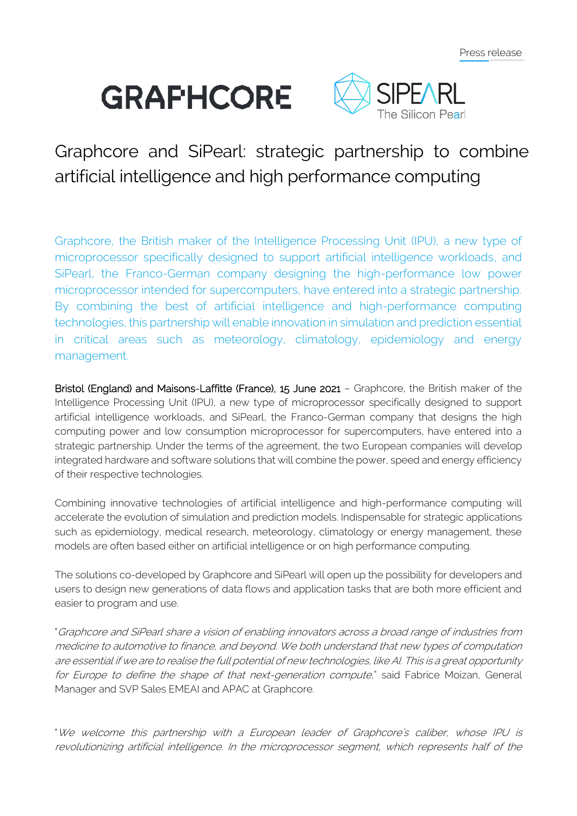# **GRAFHCORE**



## Graphcore and SiPearl: strategic partnership to combine artificial intelligence and high performance computing

Graphcore, the British maker of the Intelligence Processing Unit (IPU), a new type of microprocessor specifically designed to support artificial intelligence workloads, and SiPearl, the Franco-German company designing the high-performance low power microprocessor intended for supercomputers, have entered into a strategic partnership. By combining the best of artificial intelligence and high-performance computing technologies, this partnership will enable innovation in simulation and prediction essential in critical areas such as meteorology, climatology, epidemiology and energy management.

Bristol (England) and Maisons-Laffitte (France), 15 June 2021 – Graphcore, the British maker of the Intelligence Processing Unit (IPU), a new type of microprocessor specifically designed to support artificial intelligence workloads, and SiPearl, the Franco-German company that designs the high computing power and low consumption microprocessor for supercomputers, have entered into a strategic partnership. Under the terms of the agreement, the two European companies will develop integrated hardware and software solutions that will combine the power, speed and energy efficiency of their respective technologies.

Combining innovative technologies of artificial intelligence and high-performance computing will accelerate the evolution of simulation and prediction models. Indispensable for strategic applications such as epidemiology, medical research, meteorology, climatology or energy management, these models are often based either on artificial intelligence or on high performance computing.

The solutions co-developed by Graphcore and SiPearl will open up the possibility for developers and users to design new generations of data flows and application tasks that are both more efficient and easier to program and use.

"Graphcore and SiPearl share a vision of enabling innovators across a broad range of industries from medicine to automotive to finance, and beyond. We both understand that new types of computation are essential if we are to realise the full potential of new technologies, like AI. This is a great opportunity for Europe to define the shape of that next-generation compute," said Fabrice Moizan, General Manager and SVP Sales EMEAI and APAC at Graphcore.

"We welcome this partnership with a European leader of Graphcore's caliber, whose IPU is revolutionizing artificial intelligence. In the microprocessor segment, which represents half of the